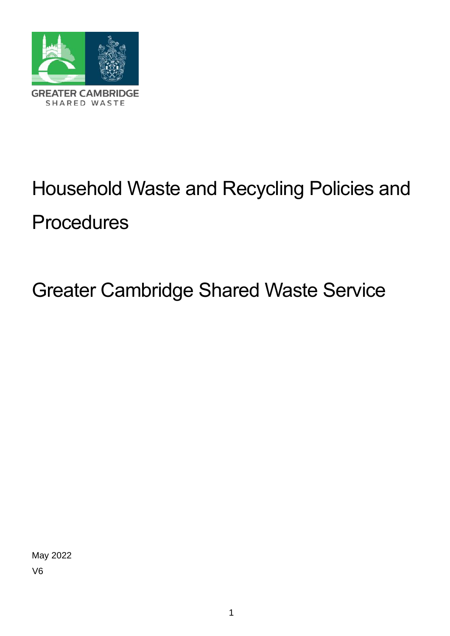

# Household Waste and Recycling Policies and **Procedures**

## Greater Cambridge Shared Waste Service

May 2022 V6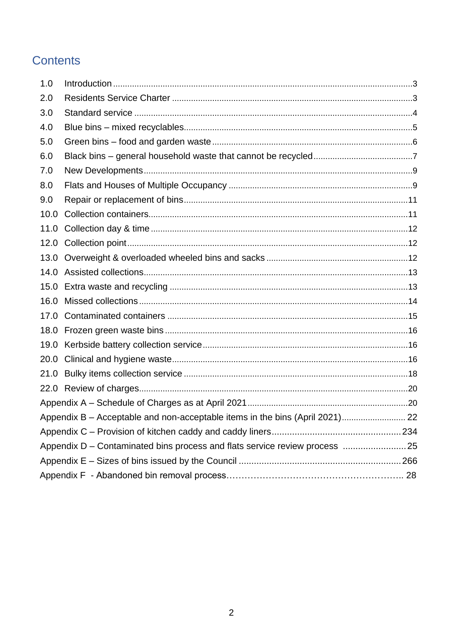## **Contents**

| 1.0                                                                         |                                                                              |  |
|-----------------------------------------------------------------------------|------------------------------------------------------------------------------|--|
| 2.0                                                                         |                                                                              |  |
| 3.0                                                                         |                                                                              |  |
| 4.0                                                                         |                                                                              |  |
| 5.0                                                                         |                                                                              |  |
| 6.0                                                                         |                                                                              |  |
| 7.0                                                                         |                                                                              |  |
| 8.0                                                                         |                                                                              |  |
| 9.0                                                                         |                                                                              |  |
| 10.0                                                                        |                                                                              |  |
| 11.0                                                                        |                                                                              |  |
|                                                                             |                                                                              |  |
|                                                                             |                                                                              |  |
| 14.0                                                                        |                                                                              |  |
|                                                                             |                                                                              |  |
| 16.0                                                                        |                                                                              |  |
| 17.0                                                                        |                                                                              |  |
|                                                                             |                                                                              |  |
| 19.0                                                                        |                                                                              |  |
| 20.0                                                                        |                                                                              |  |
| 21.0                                                                        |                                                                              |  |
|                                                                             |                                                                              |  |
|                                                                             |                                                                              |  |
|                                                                             | Appendix B - Acceptable and non-acceptable items in the bins (April 2021) 22 |  |
|                                                                             |                                                                              |  |
| Appendix D – Contaminated bins process and flats service review process  25 |                                                                              |  |
|                                                                             |                                                                              |  |
|                                                                             |                                                                              |  |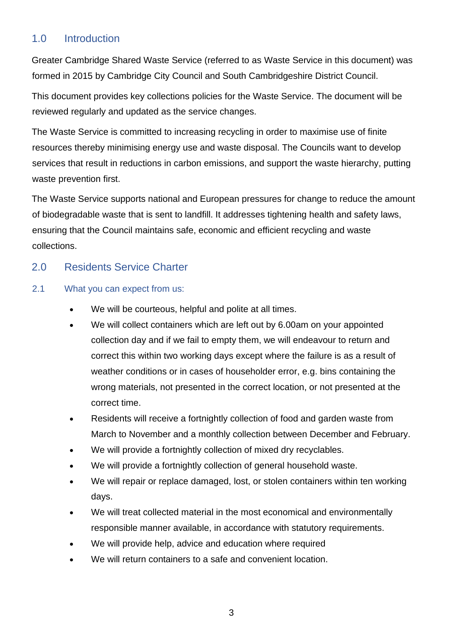## <span id="page-2-0"></span>1.0 Introduction

Greater Cambridge Shared Waste Service (referred to as Waste Service in this document) was formed in 2015 by Cambridge City Council and South Cambridgeshire District Council.

This document provides key collections policies for the Waste Service. The document will be reviewed regularly and updated as the service changes.

The Waste Service is committed to increasing recycling in order to maximise use of finite resources thereby minimising energy use and waste disposal. The Councils want to develop services that result in reductions in carbon emissions, and support the waste hierarchy, putting waste prevention first.

The Waste Service supports national and European pressures for change to reduce the amount of biodegradable waste that is sent to landfill. It addresses tightening health and safety laws, ensuring that the Council maintains safe, economic and efficient recycling and waste collections.

#### <span id="page-2-1"></span>2.0 Residents Service Charter

#### 2.1 What you can expect from us:

- We will be courteous, helpful and polite at all times.
- We will collect containers which are left out by 6.00am on your appointed collection day and if we fail to empty them, we will endeavour to return and correct this within two working days except where the failure is as a result of weather conditions or in cases of householder error, e.g. bins containing the wrong materials, not presented in the correct location, or not presented at the correct time.
- Residents will receive a fortnightly collection of food and garden waste from March to November and a monthly collection between December and February.
- We will provide a fortnightly collection of mixed dry recyclables.
- We will provide a fortnightly collection of general household waste.
- We will repair or replace damaged, lost, or stolen containers within ten working days.
- We will treat collected material in the most economical and environmentally responsible manner available, in accordance with statutory requirements.
- We will provide help, advice and education where required
- We will return containers to a safe and convenient location.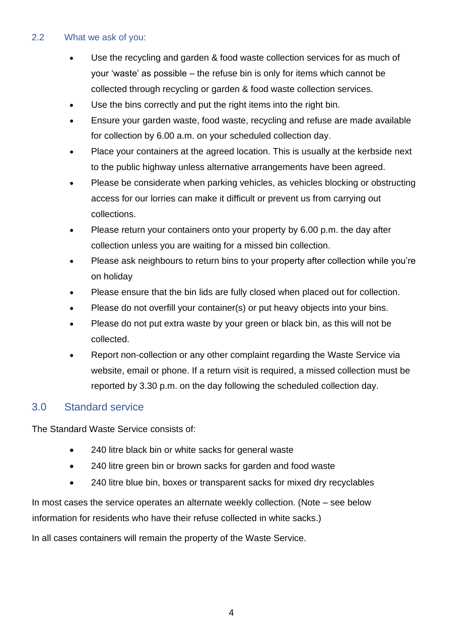#### 2.2 What we ask of you:

- Use the recycling and garden & food waste collection services for as much of your 'waste' as possible – the refuse bin is only for items which cannot be collected through recycling or garden & food waste collection services.
- Use the bins correctly and put the right items into the right bin.
- Ensure your garden waste, food waste, recycling and refuse are made available for collection by 6.00 a.m. on your scheduled collection day.
- Place your containers at the agreed location. This is usually at the kerbside next to the public highway unless alternative arrangements have been agreed.
- Please be considerate when parking vehicles, as vehicles blocking or obstructing access for our lorries can make it difficult or prevent us from carrying out collections.
- Please return your containers onto your property by 6.00 p.m. the day after collection unless you are waiting for a missed bin collection.
- Please ask neighbours to return bins to your property after collection while you're on holiday
- Please ensure that the bin lids are fully closed when placed out for collection.
- Please do not overfill your container(s) or put heavy objects into your bins.
- Please do not put extra waste by your green or black bin, as this will not be collected.
- Report non-collection or any other complaint regarding the Waste Service via website, email or phone. If a return visit is required, a missed collection must be reported by 3.30 p.m. on the day following the scheduled collection day.

## <span id="page-3-0"></span>3.0 Standard service

The Standard Waste Service consists of:

- 240 litre black bin or white sacks for general waste
- 240 litre green bin or brown sacks for garden and food waste
- 240 litre blue bin, boxes or transparent sacks for mixed dry recyclables

In most cases the service operates an alternate weekly collection. (Note – see below information for residents who have their refuse collected in white sacks.)

In all cases containers will remain the property of the Waste Service.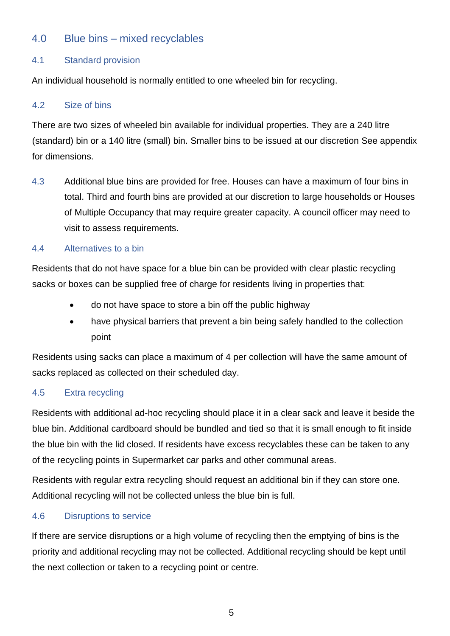### 4.0 Blue bins – mixed recyclables

#### 4.1 Standard provision

An individual household is normally entitled to one wheeled bin for recycling.

#### <span id="page-4-0"></span>4.2 Size of bins

There are two sizes of wheeled bin available for individual properties. They are a 240 litre (standard) bin or a 140 litre (small) bin. Smaller bins to be issued at our discretion See appendix for dimensions.

4.3 Additional blue bins are provided for free. Houses can have a maximum of four bins in total. Third and fourth bins are provided at our discretion to large households or Houses of Multiple Occupancy that may require greater capacity. A council officer may need to visit to assess requirements.

#### 4.4 Alternatives to a bin

Residents that do not have space for a blue bin can be provided with clear plastic recycling sacks or boxes can be supplied free of charge for residents living in properties that:

- do not have space to store a bin off the public highway
- have physical barriers that prevent a bin being safely handled to the collection point

Residents using sacks can place a maximum of 4 per collection will have the same amount of sacks replaced as collected on their scheduled day.

#### 4.5 Extra recycling

Residents with additional ad-hoc recycling should place it in a clear sack and leave it beside the blue bin. Additional cardboard should be bundled and tied so that it is small enough to fit inside the blue bin with the lid closed. If residents have excess recyclables these can be taken to any of the recycling points in Supermarket car parks and other communal areas.

Residents with regular extra recycling should request an additional bin if they can store one. Additional recycling will not be collected unless the blue bin is full.

#### 4.6 Disruptions to service

If there are service disruptions or a high volume of recycling then the emptying of bins is the priority and additional recycling may not be collected. Additional recycling should be kept until the next collection or taken to a recycling point or centre.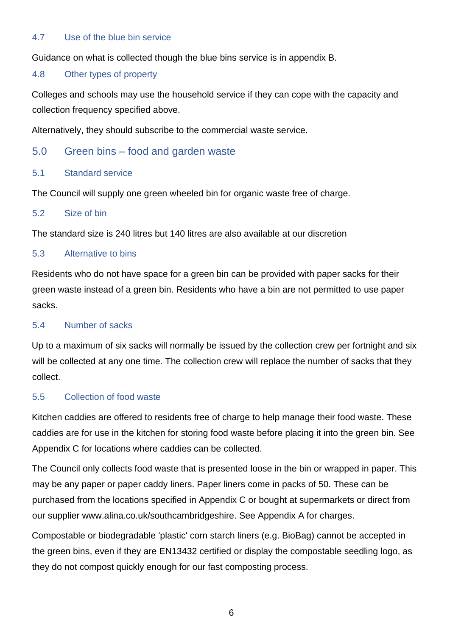#### 4.7 Use of the blue bin service

Guidance on what is collected though the blue bins service is in appendix B.

#### 4.8 Other types of property

Colleges and schools may use the household service if they can cope with the capacity and collection frequency specified above.

Alternatively, they should subscribe to the commercial waste service.

#### 5.0 Green bins – food and garden waste

#### <span id="page-5-0"></span>5.1 Standard service

The Council will supply one green wheeled bin for organic waste free of charge.

#### 5.2 Size of bin

The standard size is 240 litres but 140 litres are also available at our discretion

#### 5.3 Alternative to bins

Residents who do not have space for a green bin can be provided with paper sacks for their green waste instead of a green bin. Residents who have a bin are not permitted to use paper sacks.

#### 5.4 Number of sacks

Up to a maximum of six sacks will normally be issued by the collection crew per fortnight and six will be collected at any one time. The collection crew will replace the number of sacks that they collect.

#### 5.5 Collection of food waste

Kitchen caddies are offered to residents free of charge to help manage their food waste. These caddies are for use in the kitchen for storing food waste before placing it into the green bin. See Appendix C for locations where caddies can be collected.

The Council only collects food waste that is presented loose in the bin or wrapped in paper. This may be any paper or paper caddy liners. Paper liners come in packs of 50. These can be purchased from the locations specified in Appendix C or bought at supermarkets or direct from our supplier www.alina.co.uk/southcambridgeshire. See Appendix A for charges.

Compostable or biodegradable 'plastic' corn starch liners (e.g. BioBag) cannot be accepted in the green bins, even if they are EN13432 certified or display the compostable seedling logo, as they do not compost quickly enough for our fast composting process.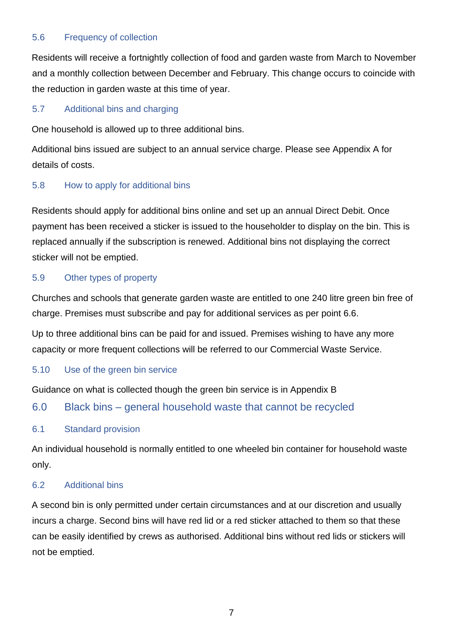#### 5.6 Frequency of collection

Residents will receive a fortnightly collection of food and garden waste from March to November and a monthly collection between December and February. This change occurs to coincide with the reduction in garden waste at this time of year.

#### 5.7 Additional bins and charging

One household is allowed up to three additional bins.

Additional bins issued are subject to an annual service charge. Please see Appendix A for details of costs.

#### 5.8 How to apply for additional bins

Residents should apply for additional bins online and set up an annual Direct Debit. Once payment has been received a sticker is issued to the householder to display on the bin. This is replaced annually if the subscription is renewed. Additional bins not displaying the correct sticker will not be emptied.

#### 5.9 Other types of property

Churches and schools that generate garden waste are entitled to one 240 litre green bin free of charge. Premises must subscribe and pay for additional services as per point 6.6.

Up to three additional bins can be paid for and issued. Premises wishing to have any more capacity or more frequent collections will be referred to our Commercial Waste Service.

#### 5.10 Use of the green bin service

Guidance on what is collected though the green bin service is in Appendix B

## 6.0 Black bins – general household waste that cannot be recycled

#### <span id="page-6-0"></span>6.1 Standard provision

An individual household is normally entitled to one wheeled bin container for household waste only.

#### <span id="page-6-1"></span>6.2 Additional bins

A second bin is only permitted under certain circumstances and at our discretion and usually incurs a charge. Second bins will have red lid or a red sticker attached to them so that these can be easily identified by crews as authorised. Additional bins without red lids or stickers will not be emptied.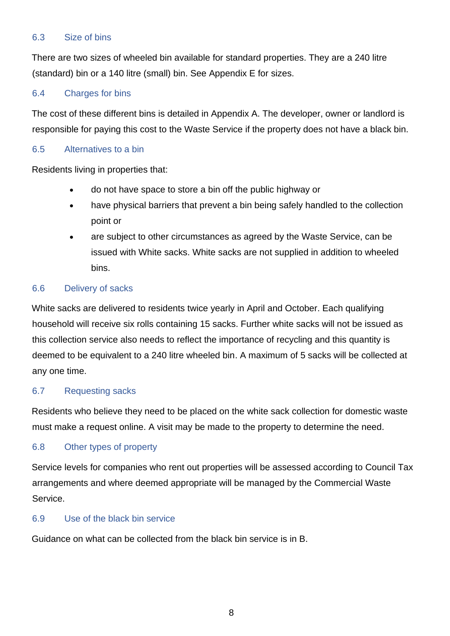#### 6.3 Size of bins

There are two sizes of wheeled bin available for standard properties. They are a 240 litre (standard) bin or a 140 litre (small) bin. See Appendix E for sizes.

#### 6.4 Charges for bins

The cost of these different bins is detailed in Appendix A. The developer, owner or landlord is responsible for paying this cost to the Waste Service if the property does not have a black bin.

#### 6.5 Alternatives to a bin

Residents living in properties that:

- do not have space to store a bin off the public highway or
- have physical barriers that prevent a bin being safely handled to the collection point or
- are subject to other circumstances as agreed by the Waste Service, can be issued with White sacks. White sacks are not supplied in addition to wheeled bins.

#### 6.6 Delivery of sacks

White sacks are delivered to residents twice yearly in April and October. Each qualifying household will receive six rolls containing 15 sacks. Further white sacks will not be issued as this collection service also needs to reflect the importance of recycling and this quantity is deemed to be equivalent to a 240 litre wheeled bin. A maximum of 5 sacks will be collected at any one time.

#### 6.7 Requesting sacks

Residents who believe they need to be placed on the white sack collection for domestic waste must make a request online. A visit may be made to the property to determine the need.

#### 6.8 Other types of property

Service levels for companies who rent out properties will be assessed according to Council Tax arrangements and where deemed appropriate will be managed by the Commercial Waste Service.

#### 6.9 Use of the black bin service

Guidance on what can be collected from the black bin service is in B.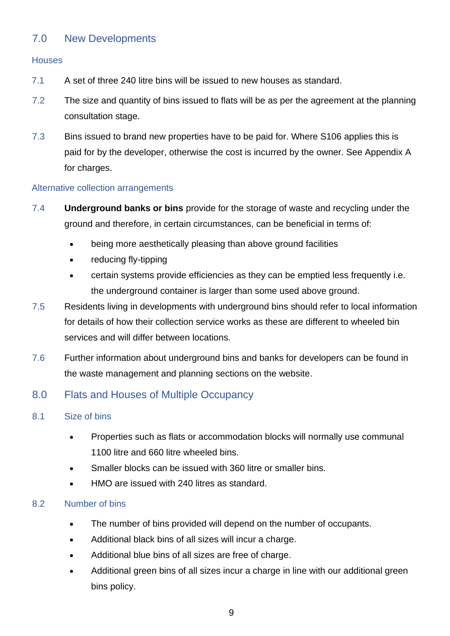## 7.0 New Developments

#### **Houses**

- 7.1 A set of three 240 litre bins will be issued to new houses as standard.
- 7.2 The size and quantity of bins issued to flats will be as per the agreement at the planning consultation stage.
- 7.3 Bins issued to brand new properties have to be paid for. Where S106 applies this is paid for by the developer, otherwise the cost is incurred by the owner. See Appendix A for charges.

#### Alternative collection arrangements

- 7.4 **Underground banks or bins** provide for the storage of waste and recycling under the ground and therefore, in certain circumstances, can be beneficial in terms of:
	- being more aesthetically pleasing than above ground facilities
	- reducing fly-tipping
	- certain systems provide efficiencies as they can be emptied less frequently i.e. the underground container is larger than some used above ground.
- 7.5 Residents living in developments with underground bins should refer to local information for details of how their collection service works as these are different to wheeled bin services and will differ between locations.
- 7.6 Further information about underground bins and banks for developers can be found in the waste management and planning sections on the website.

## 8.0 Flats and Houses of Multiple Occupancy

- <span id="page-8-0"></span>8.1 Size of bins
	- Properties such as flats or accommodation blocks will normally use communal 1100 litre and 660 litre wheeled bins.
	- Smaller blocks can be issued with 360 litre or smaller bins.
	- HMO are issued with 240 litres as standard.

#### 8.2 Number of bins

- The number of bins provided will depend on the number of occupants.
- Additional black bins of all sizes will incur a charge.
- Additional blue bins of all sizes are free of charge.
- Additional green bins of all sizes incur a charge in line with our additional green bins policy.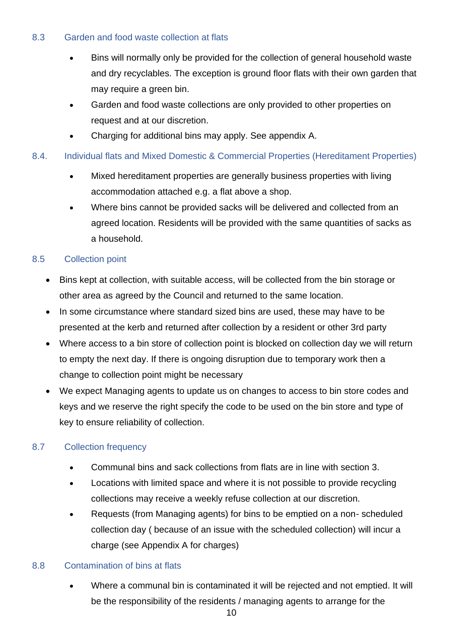#### 8.3 Garden and food waste collection at flats

- Bins will normally only be provided for the collection of general household waste and dry recyclables. The exception is ground floor flats with their own garden that may require a green bin.
- Garden and food waste collections are only provided to other properties on request and at our discretion.
- Charging for additional bins may apply. See appendix A.

#### 8.4. Individual flats and Mixed Domestic & Commercial Properties (Hereditament Properties)

- Mixed hereditament properties are generally business properties with living accommodation attached e.g. a flat above a shop.
- Where bins cannot be provided sacks will be delivered and collected from an agreed location. Residents will be provided with the same quantities of sacks as a household.

#### 8.5 Collection point

- Bins kept at collection, with suitable access, will be collected from the bin storage or other area as agreed by the Council and returned to the same location.
- In some circumstance where standard sized bins are used, these may have to be presented at the kerb and returned after collection by a resident or other 3rd party
- Where access to a bin store of collection point is blocked on collection day we will return to empty the next day. If there is ongoing disruption due to temporary work then a change to collection point might be necessary
- We expect Managing agents to update us on changes to access to bin store codes and keys and we reserve the right specify the code to be used on the bin store and type of key to ensure reliability of collection.

#### 8.7 Collection frequency

- Communal bins and sack collections from flats are in line with section 3.
- Locations with limited space and where it is not possible to provide recycling collections may receive a weekly refuse collection at our discretion.
- Requests (from Managing agents) for bins to be emptied on a non- scheduled collection day ( because of an issue with the scheduled collection) will incur a charge (see Appendix A for charges)

#### 8.8 Contamination of bins at flats

• Where a communal bin is contaminated it will be rejected and not emptied. It will be the responsibility of the residents / managing agents to arrange for the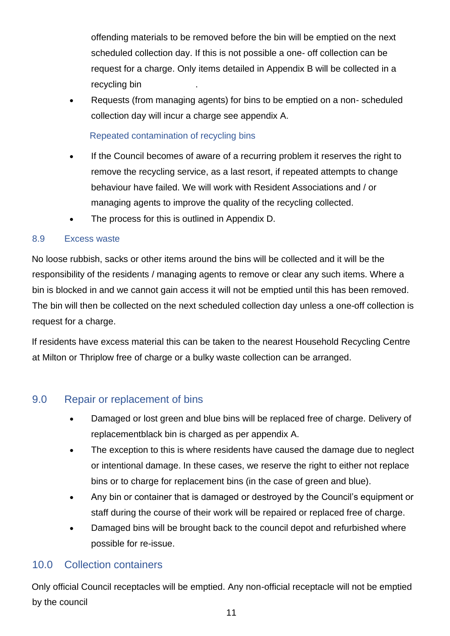offending materials to be removed before the bin will be emptied on the next scheduled collection day. If this is not possible a one- off collection can be request for a charge. Only items detailed in Appendix B will be collected in a recycling bin .

• Requests (from managing agents) for bins to be emptied on a non- scheduled collection day will incur a charge see appendix A.

Repeated contamination of recycling bins

- If the Council becomes of aware of a recurring problem it reserves the right to remove the recycling service, as a last resort, if repeated attempts to change behaviour have failed. We will work with Resident Associations and / or managing agents to improve the quality of the recycling collected.
- The process for this is outlined in Appendix D.

#### 8.9 Excess waste

No loose rubbish, sacks or other items around the bins will be collected and it will be the responsibility of the residents / managing agents to remove or clear any such items. Where a bin is blocked in and we cannot gain access it will not be emptied until this has been removed. The bin will then be collected on the next scheduled collection day unless a one-off collection is request for a charge.

If residents have excess material this can be taken to the nearest Household Recycling Centre at Milton or Thriplow free of charge or a bulky waste collection can be arranged.

## <span id="page-10-0"></span>9.0 Repair or replacement of bins

- Damaged or lost green and blue bins will be replaced free of charge. Delivery of replacementblack bin is charged as per appendix A.
- The exception to this is where residents have caused the damage due to neglect or intentional damage. In these cases, we reserve the right to either not replace bins or to charge for replacement bins (in the case of green and blue).
- Any bin or container that is damaged or destroyed by the Council's equipment or staff during the course of their work will be repaired or replaced free of charge.
- Damaged bins will be brought back to the council depot and refurbished where possible for re-issue.

## <span id="page-10-1"></span>10.0 Collection containers

Only official Council receptacles will be emptied. Any non-official receptacle will not be emptied by the council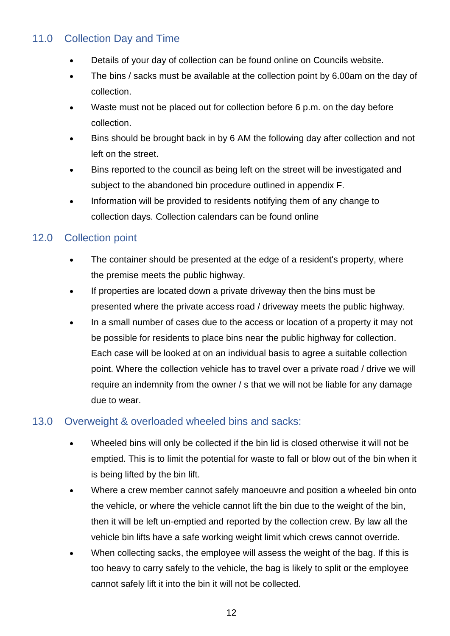## <span id="page-11-0"></span>11.0 Collection Day and Time

- Details of your day of collection can be found online on Councils website.
- The bins / sacks must be available at the collection point by 6.00am on the day of collection.
- Waste must not be placed out for collection before 6 p.m. on the day before collection.
- Bins should be brought back in by 6 AM the following day after collection and not left on the street.
- Bins reported to the council as being left on the street will be investigated and subject to the abandoned bin procedure outlined in appendix F.
- Information will be provided to residents notifying them of any change to collection days. Collection calendars can be found online

## <span id="page-11-1"></span>12.0 Collection point

- The container should be presented at the edge of a resident's property, where the premise meets the public highway.
- If properties are located down a private driveway then the bins must be presented where the private access road / driveway meets the public highway.
- In a small number of cases due to the access or location of a property it may not be possible for residents to place bins near the public highway for collection. Each case will be looked at on an individual basis to agree a suitable collection point. Where the collection vehicle has to travel over a private road / drive we will require an indemnity from the owner / s that we will not be liable for any damage due to wear.

## 13.0 Overweight & overloaded wheeled bins and sacks:

- Wheeled bins will only be collected if the bin lid is closed otherwise it will not be emptied. This is to limit the potential for waste to fall or blow out of the bin when it is being lifted by the bin lift.
- Where a crew member cannot safely manoeuvre and position a wheeled bin onto the vehicle, or where the vehicle cannot lift the bin due to the weight of the bin, then it will be left un-emptied and reported by the collection crew. By law all the vehicle bin lifts have a safe working weight limit which crews cannot override.
- When collecting sacks, the employee will assess the weight of the bag. If this is too heavy to carry safely to the vehicle, the bag is likely to split or the employee cannot safely lift it into the bin it will not be collected.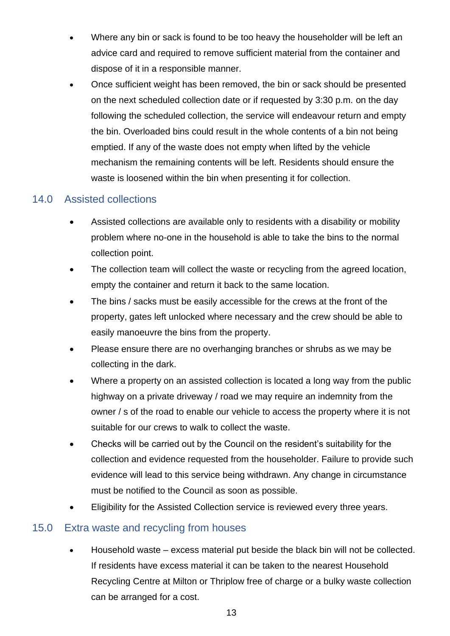- Where any bin or sack is found to be too heavy the householder will be left an advice card and required to remove sufficient material from the container and dispose of it in a responsible manner.
- Once sufficient weight has been removed, the bin or sack should be presented on the next scheduled collection date or if requested by 3:30 p.m. on the day following the scheduled collection, the service will endeavour return and empty the bin. Overloaded bins could result in the whole contents of a bin not being emptied. If any of the waste does not empty when lifted by the vehicle mechanism the remaining contents will be left. Residents should ensure the waste is loosened within the bin when presenting it for collection.

## <span id="page-12-0"></span>14.0 Assisted collections

- Assisted collections are available only to residents with a disability or mobility problem where no-one in the household is able to take the bins to the normal collection point.
- The collection team will collect the waste or recycling from the agreed location, empty the container and return it back to the same location.
- The bins / sacks must be easily accessible for the crews at the front of the property, gates left unlocked where necessary and the crew should be able to easily manoeuvre the bins from the property.
- Please ensure there are no overhanging branches or shrubs as we may be collecting in the dark.
- Where a property on an assisted collection is located a long way from the public highway on a private driveway / road we may require an indemnity from the owner / s of the road to enable our vehicle to access the property where it is not suitable for our crews to walk to collect the waste.
- Checks will be carried out by the Council on the resident's suitability for the collection and evidence requested from the householder. Failure to provide such evidence will lead to this service being withdrawn. Any change in circumstance must be notified to the Council as soon as possible.
- Eligibility for the Assisted Collection service is reviewed every three years.

## <span id="page-12-1"></span>15.0 Extra waste and recycling from houses

• Household waste – excess material put beside the black bin will not be collected. If residents have excess material it can be taken to the nearest Household Recycling Centre at Milton or Thriplow free of charge or a bulky waste collection can be arranged for a cost.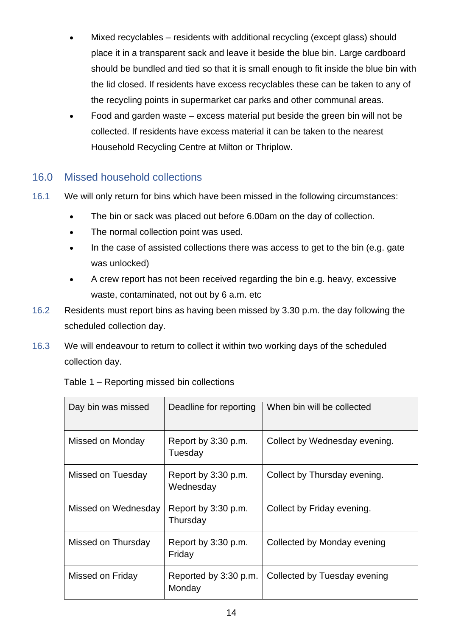- Mixed recyclables residents with additional recycling (except glass) should place it in a transparent sack and leave it beside the blue bin. Large cardboard should be bundled and tied so that it is small enough to fit inside the blue bin with the lid closed. If residents have excess recyclables these can be taken to any of the recycling points in supermarket car parks and other communal areas.
- Food and garden waste excess material put beside the green bin will not be collected. If residents have excess material it can be taken to the nearest Household Recycling Centre at Milton or Thriplow.

## <span id="page-13-0"></span>16.0 Missed household collections

- 16.1 We will only return for bins which have been missed in the following circumstances:
	- The bin or sack was placed out before 6.00am on the day of collection.
	- The normal collection point was used.
	- In the case of assisted collections there was access to get to the bin (e.g. gate was unlocked)
	- A crew report has not been received regarding the bin e.g. heavy, excessive waste, contaminated, not out by 6 a.m. etc
- 16.2 Residents must report bins as having been missed by 3.30 p.m. the day following the scheduled collection day.
- 16.3 We will endeavour to return to collect it within two working days of the scheduled collection day.

| Day bin was missed  | Deadline for reporting           | When bin will be collected    |
|---------------------|----------------------------------|-------------------------------|
| Missed on Monday    | Report by 3:30 p.m.<br>Tuesday   | Collect by Wednesday evening. |
| Missed on Tuesday   | Report by 3:30 p.m.<br>Wednesday | Collect by Thursday evening.  |
| Missed on Wednesday | Report by 3:30 p.m.<br>Thursday  | Collect by Friday evening.    |
| Missed on Thursday  | Report by 3:30 p.m.<br>Friday    | Collected by Monday evening   |
| Missed on Friday    | Reported by 3:30 p.m.<br>Monday  | Collected by Tuesday evening  |

Table 1 – Reporting missed bin collections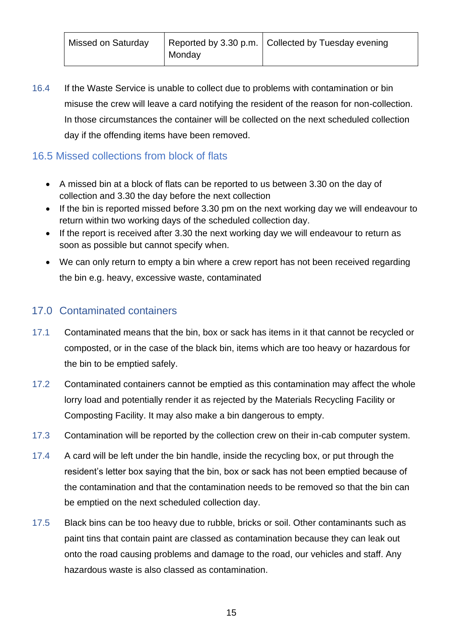16.4 If the Waste Service is unable to collect due to problems with contamination or bin misuse the crew will leave a card notifying the resident of the reason for non-collection. In those circumstances the container will be collected on the next scheduled collection day if the offending items have been removed.

## 16.5 Missed collections from block of flats

- A missed bin at a block of flats can be reported to us between 3.30 on the day of collection and 3.30 the day before the next collection
- If the bin is reported missed before 3.30 pm on the next working day we will endeavour to return within two working days of the scheduled collection day.
- If the report is received after 3.30 the next working day we will endeavour to return as soon as possible but cannot specify when.
- We can only return to empty a bin where a crew report has not been received regarding the bin e.g. heavy, excessive waste, contaminated

## <span id="page-14-0"></span>17.0 Contaminated containers

- 17.1 Contaminated means that the bin, box or sack has items in it that cannot be recycled or composted, or in the case of the black bin, items which are too heavy or hazardous for the bin to be emptied safely.
- 17.2 Contaminated containers cannot be emptied as this contamination may affect the whole lorry load and potentially render it as rejected by the Materials Recycling Facility or Composting Facility. It may also make a bin dangerous to empty.
- 17.3 Contamination will be reported by the collection crew on their in-cab computer system.
- 17.4 A card will be left under the bin handle, inside the recycling box, or put through the resident's letter box saying that the bin, box or sack has not been emptied because of the contamination and that the contamination needs to be removed so that the bin can be emptied on the next scheduled collection day.
- 17.5 Black bins can be too heavy due to rubble, bricks or soil. Other contaminants such as paint tins that contain paint are classed as contamination because they can leak out onto the road causing problems and damage to the road, our vehicles and staff. Any hazardous waste is also classed as contamination.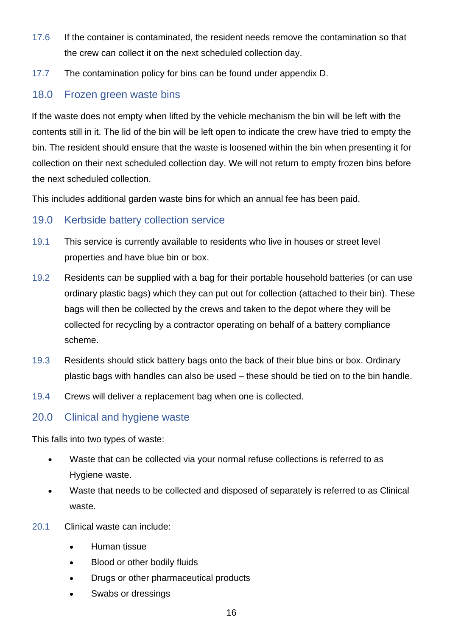- 17.6 If the container is contaminated, the resident needs remove the contamination so that the crew can collect it on the next scheduled collection day.
- 17.7 The contamination policy for bins can be found under appendix D.

### <span id="page-15-0"></span>18.0 Frozen green waste bins

If the waste does not empty when lifted by the vehicle mechanism the bin will be left with the contents still in it. The lid of the bin will be left open to indicate the crew have tried to empty the bin. The resident should ensure that the waste is loosened within the bin when presenting it for collection on their next scheduled collection day. We will not return to empty frozen bins before the next scheduled collection.

This includes additional garden waste bins for which an annual fee has been paid.

#### <span id="page-15-1"></span>19.0 Kerbside battery collection service

- 19.1 This service is currently available to residents who live in houses or street level properties and have blue bin or box.
- 19.2 Residents can be supplied with a bag for their portable household batteries (or can use ordinary plastic bags) which they can put out for collection (attached to their bin). These bags will then be collected by the crews and taken to the depot where they will be collected for recycling by a contractor operating on behalf of a battery compliance scheme.
- 19.3 Residents should stick battery bags onto the back of their blue bins or box. Ordinary plastic bags with handles can also be used – these should be tied on to the bin handle.
- 19.4 Crews will deliver a replacement bag when one is collected.

## <span id="page-15-2"></span>20.0 Clinical and hygiene waste

This falls into two types of waste:

- Waste that can be collected via your normal refuse collections is referred to as Hygiene waste.
- Waste that needs to be collected and disposed of separately is referred to as Clinical waste.
- 20.1 Clinical waste can include:
	- Human tissue
	- Blood or other bodily fluids
	- Drugs or other pharmaceutical products
	- Swabs or dressings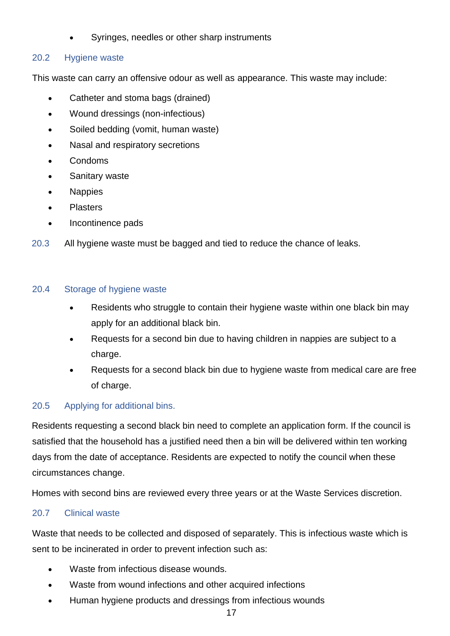• Syringes, needles or other sharp instruments

#### 20.2 Hygiene waste

This waste can carry an offensive odour as well as appearance. This waste may include:

- Catheter and stoma bags (drained)
- Wound dressings (non-infectious)
- Soiled bedding (vomit, human waste)
- Nasal and respiratory secretions
- Condoms
- Sanitary waste
- Nappies
- **Plasters**
- Incontinence pads
- 20.3 All hygiene waste must be bagged and tied to reduce the chance of leaks.

#### 20.4 Storage of hygiene waste

- Residents who struggle to contain their hygiene waste within one black bin may apply for an additional black bin.
- Requests for a second bin due to having children in nappies are subject to a charge.
- Requests for a second black bin due to hygiene waste from medical care are free of charge.

#### 20.5 Applying for additional bins.

Residents requesting a second black bin need to complete an application form. If the council is satisfied that the household has a justified need then a bin will be delivered within ten working days from the date of acceptance. Residents are expected to notify the council when these circumstances change.

Homes with second bins are reviewed every three years or at the Waste Services discretion.

#### 20.7 Clinical waste

Waste that needs to be collected and disposed of separately. This is infectious waste which is sent to be incinerated in order to prevent infection such as:

- Waste from infectious disease wounds.
- Waste from wound infections and other acquired infections
- Human hygiene products and dressings from infectious wounds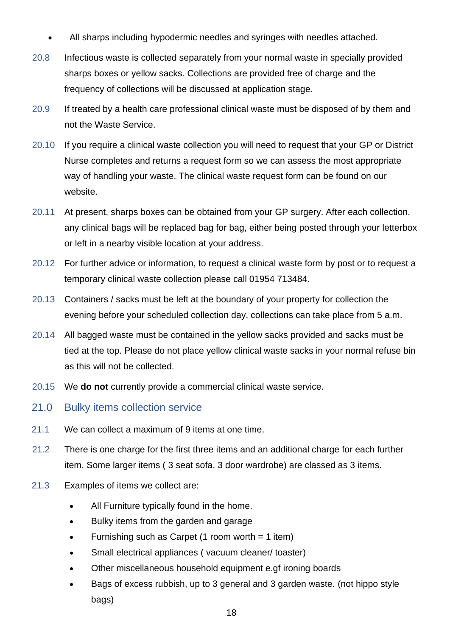- All sharps including hypodermic needles and syringes with needles attached.
- 20.8 Infectious waste is collected separately from your normal waste in specially provided sharps boxes or yellow sacks. Collections are provided free of charge and the frequency of collections will be discussed at application stage.
- 20.9 If treated by a health care professional clinical waste must be disposed of by them and not the Waste Service.
- 20.10 If you require a clinical waste collection you will need to request that your GP or District Nurse completes and returns a request form so we can assess the most appropriate way of handling your waste. The clinical waste request form can be found on our website.
- 20.11 At present, sharps boxes can be obtained from your GP surgery. After each collection, any clinical bags will be replaced bag for bag, either being posted through your letterbox or left in a nearby visible location at your address.
- 20.12 For further advice or information, to request a clinical waste form by post or to request a temporary clinical waste collection please call 01954 713484.
- 20.13 Containers / sacks must be left at the boundary of your property for collection the evening before your scheduled collection day, collections can take place from 5 a.m.
- 20.14 All bagged waste must be contained in the yellow sacks provided and sacks must be tied at the top. Please do not place yellow clinical waste sacks in your normal refuse bin as this will not be collected.
- 20.15 We **do not** currently provide a commercial clinical waste service.
- <span id="page-17-0"></span>21.0 Bulky items collection service
- 21.1 We can collect a maximum of 9 items at one time.
- 21.2 There is one charge for the first three items and an additional charge for each further item. Some larger items ( 3 seat sofa, 3 door wardrobe) are classed as 3 items.
- 21.3 Examples of items we collect are:
	- All Furniture typically found in the home.
	- Bulky items from the garden and garage
	- Furnishing such as Carpet (1 room worth  $= 1$  item)
	- Small electrical appliances (vacuum cleaner/ toaster)
	- Other miscellaneous household equipment e.gf ironing boards
	- Bags of excess rubbish, up to 3 general and 3 garden waste. (not hippo style bags)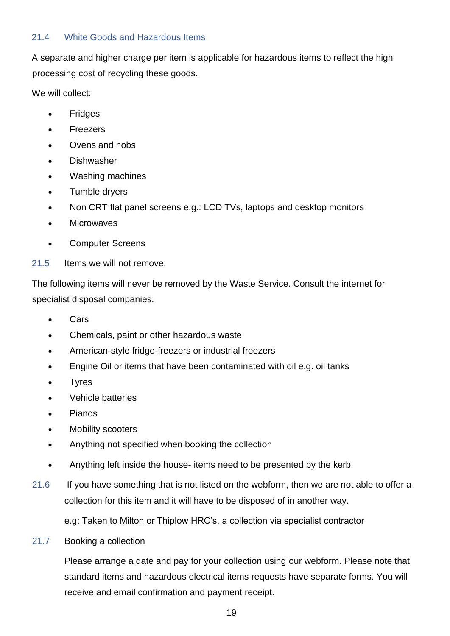#### 21.4 White Goods and Hazardous Items

A separate and higher charge per item is applicable for hazardous items to reflect the high processing cost of recycling these goods.

We will collect:

- **Fridges**
- Freezers
- Ovens and hobs
- **Dishwasher**
- Washing machines
- Tumble dryers
- Non CRT flat panel screens e.g.: LCD TVs, laptops and desktop monitors
- Microwaves
- Computer Screens
- 21.5 Items we will not remove:

The following items will never be removed by the Waste Service. Consult the internet for specialist disposal companies.

- Cars
- Chemicals, paint or other hazardous waste
- American-style fridge-freezers or industrial freezers
- Engine Oil or items that have been contaminated with oil e.g. oil tanks
- **Tyres**
- Vehicle batteries
- Pianos
- Mobility scooters
- Anything not specified when booking the collection
- Anything left inside the house- items need to be presented by the kerb.
- 21.6 If you have something that is not listed on the webform, then we are not able to offer a collection for this item and it will have to be disposed of in another way.

e.g: Taken to Milton or Thiplow HRC's, a collection via specialist contractor

21.7 Booking a collection

Please arrange a date and pay for your collection using our webform. Please note that standard items and hazardous electrical items requests have separate forms. You will receive and email confirmation and payment receipt.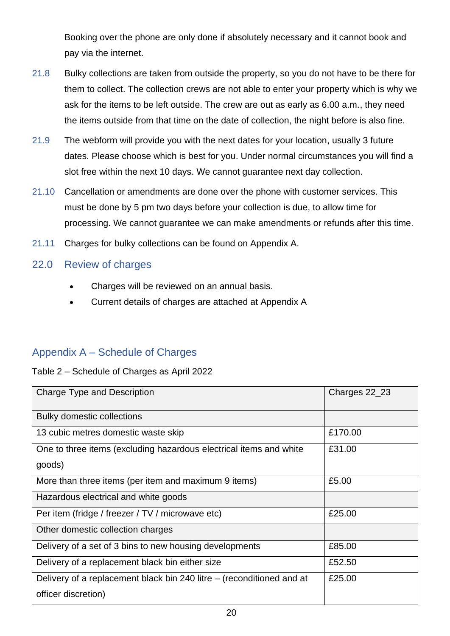Booking over the phone are only done if absolutely necessary and it cannot book and pay via the internet.

- 21.8 Bulky collections are taken from outside the property, so you do not have to be there for them to collect. The collection crews are not able to enter your property which is why we ask for the items to be left outside. The crew are out as early as 6.00 a.m., they need the items outside from that time on the date of collection, the night before is also fine.
- 21.9 The webform will provide you with the next dates for your location, usually 3 future dates. Please choose which is best for you. Under normal circumstances you will find a slot free within the next 10 days. We cannot guarantee next day collection.
- 21.10 Cancellation or amendments are done over the phone with customer services. This must be done by 5 pm two days before your collection is due, to allow time for processing. We cannot guarantee we can make amendments or refunds after this time.
- 21.11 Charges for bulky collections can be found on Appendix A.

#### <span id="page-19-0"></span>22.0 Review of charges

- Charges will be reviewed on an annual basis.
- Current details of charges are attached at Appendix A

#### <span id="page-19-1"></span>Appendix A – Schedule of Charges

Table 2 – Schedule of Charges as April 2022

| <b>Charge Type and Description</b>                                    | Charges 22_23 |
|-----------------------------------------------------------------------|---------------|
| <b>Bulky domestic collections</b>                                     |               |
| 13 cubic metres domestic waste skip                                   | £170.00       |
| One to three items (excluding hazardous electrical items and white    | £31.00        |
| goods)                                                                |               |
| More than three items (per item and maximum 9 items)                  | £5.00         |
| Hazardous electrical and white goods                                  |               |
| Per item (fridge / freezer / TV / microwave etc)                      | £25.00        |
| Other domestic collection charges                                     |               |
| Delivery of a set of 3 bins to new housing developments               | £85.00        |
| Delivery of a replacement black bin either size                       | £52.50        |
| Delivery of a replacement black bin 240 litre – (reconditioned and at | £25.00        |
| officer discretion)                                                   |               |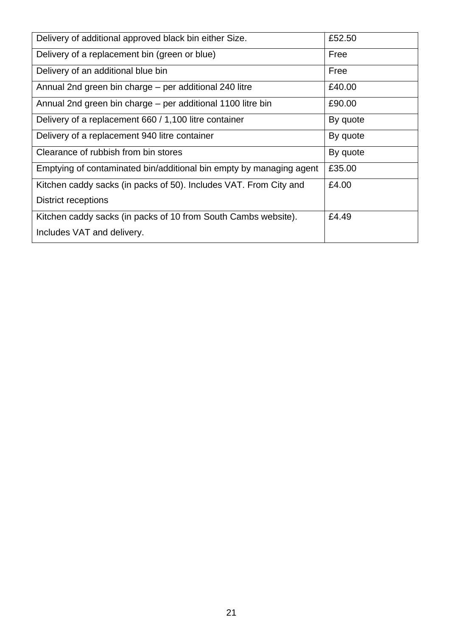| Delivery of additional approved black bin either Size.              | £52.50   |
|---------------------------------------------------------------------|----------|
| Delivery of a replacement bin (green or blue)                       | Free     |
| Delivery of an additional blue bin                                  | Free     |
| Annual 2nd green bin charge – per additional 240 litre              | £40.00   |
| Annual 2nd green bin charge – per additional 1100 litre bin         | £90.00   |
| Delivery of a replacement 660 / 1,100 litre container               | By quote |
| Delivery of a replacement 940 litre container                       | By quote |
| Clearance of rubbish from bin stores                                | By quote |
| Emptying of contaminated bin/additional bin empty by managing agent | £35.00   |
| Kitchen caddy sacks (in packs of 50). Includes VAT. From City and   | £4.00    |
| <b>District receptions</b>                                          |          |
| Kitchen caddy sacks (in packs of 10 from South Cambs website).      | £4.49    |
| Includes VAT and delivery.                                          |          |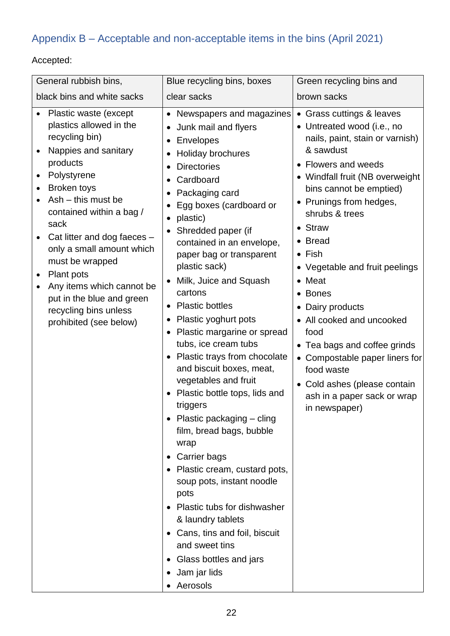## <span id="page-21-0"></span>Appendix B – Acceptable and non-acceptable items in the bins (April 2021)

## Accepted:

| General rubbish bins,                                                                                                                                                                                                                                                                                                                                                                                      | Blue recycling bins, boxes                                                                                                                                                                                                                                                                                                                                                                                                                                                                                                                                                                                                                                                                                                                                                                                                                                                                                                              | Green recycling bins and                                                                                                                                                                                                                                                                                                                                                                                                                                                                                                                                      |
|------------------------------------------------------------------------------------------------------------------------------------------------------------------------------------------------------------------------------------------------------------------------------------------------------------------------------------------------------------------------------------------------------------|-----------------------------------------------------------------------------------------------------------------------------------------------------------------------------------------------------------------------------------------------------------------------------------------------------------------------------------------------------------------------------------------------------------------------------------------------------------------------------------------------------------------------------------------------------------------------------------------------------------------------------------------------------------------------------------------------------------------------------------------------------------------------------------------------------------------------------------------------------------------------------------------------------------------------------------------|---------------------------------------------------------------------------------------------------------------------------------------------------------------------------------------------------------------------------------------------------------------------------------------------------------------------------------------------------------------------------------------------------------------------------------------------------------------------------------------------------------------------------------------------------------------|
| black bins and white sacks                                                                                                                                                                                                                                                                                                                                                                                 | clear sacks                                                                                                                                                                                                                                                                                                                                                                                                                                                                                                                                                                                                                                                                                                                                                                                                                                                                                                                             | brown sacks                                                                                                                                                                                                                                                                                                                                                                                                                                                                                                                                                   |
| Plastic waste (except<br>plastics allowed in the<br>recycling bin)<br>Nappies and sanitary<br>products<br>Polystyrene<br>Broken toys<br>$Ash - this must be$<br>contained within a bag /<br>sack<br>Cat litter and dog faeces -<br>only a small amount which<br>must be wrapped<br>Plant pots<br>Any items which cannot be<br>put in the blue and green<br>recycling bins unless<br>prohibited (see below) | • Newspapers and magazines<br>Junk mail and flyers<br>Envelopes<br>Holiday brochures<br><b>Directories</b><br>Cardboard<br>Packaging card<br>Egg boxes (cardboard or<br>plastic)<br>Shredded paper (if<br>$\bullet$<br>contained in an envelope,<br>paper bag or transparent<br>plastic sack)<br>Milk, Juice and Squash<br>cartons<br>• Plastic bottles<br>Plastic yoghurt pots<br>$\bullet$<br>Plastic margarine or spread<br>tubs, ice cream tubs<br>• Plastic trays from chocolate<br>and biscuit boxes, meat,<br>vegetables and fruit<br>• Plastic bottle tops, lids and<br>triggers<br>• Plastic packaging $-$ cling<br>film, bread bags, bubble<br>wrap<br>Carrier bags<br>$\bullet$<br>• Plastic cream, custard pots,<br>soup pots, instant noodle<br>pots<br>• Plastic tubs for dishwasher<br>& laundry tablets<br>• Cans, tins and foil, biscuit<br>and sweet tins<br>• Glass bottles and jars<br>• Jam jar lids<br>• Aerosols | • Grass cuttings & leaves<br>• Untreated wood (i.e., no<br>nails, paint, stain or varnish)<br>& sawdust<br>• Flowers and weeds<br>• Windfall fruit (NB overweight<br>bins cannot be emptied)<br>• Prunings from hedges,<br>shrubs & trees<br>• Straw<br>• Bread<br>$\bullet$ Fish<br>• Vegetable and fruit peelings<br>Meat<br>• Bones<br>Dairy products<br>• All cooked and uncooked<br>food<br>• Tea bags and coffee grinds<br>• Compostable paper liners for<br>food waste<br>• Cold ashes (please contain<br>ash in a paper sack or wrap<br>in newspaper) |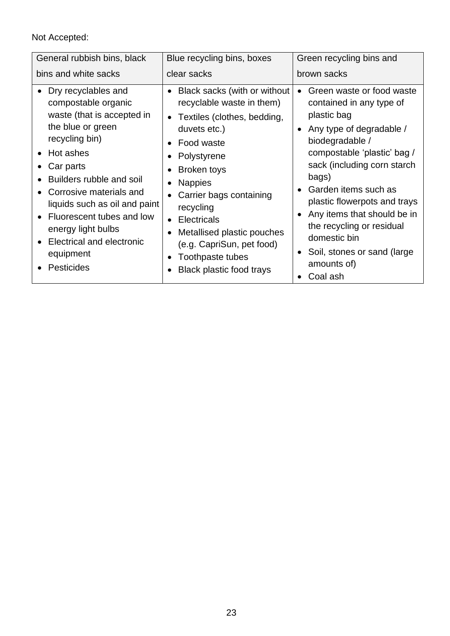#### <span id="page-22-0"></span>Not Accepted:

| General rubbish bins, black                                                                                                                                                                                                                                                                                                                    | Blue recycling bins, boxes                                                                                                                                                                                                                                                                                                                                     | Green recycling bins and                                                                                                                                                                                                                                                                                                                                                                 |
|------------------------------------------------------------------------------------------------------------------------------------------------------------------------------------------------------------------------------------------------------------------------------------------------------------------------------------------------|----------------------------------------------------------------------------------------------------------------------------------------------------------------------------------------------------------------------------------------------------------------------------------------------------------------------------------------------------------------|------------------------------------------------------------------------------------------------------------------------------------------------------------------------------------------------------------------------------------------------------------------------------------------------------------------------------------------------------------------------------------------|
| bins and white sacks                                                                                                                                                                                                                                                                                                                           | clear sacks                                                                                                                                                                                                                                                                                                                                                    | brown sacks                                                                                                                                                                                                                                                                                                                                                                              |
| Dry recyclables and<br>compostable organic<br>waste (that is accepted in<br>the blue or green<br>recycling bin)<br>• Hot ashes<br>Car parts<br>Builders rubble and soil<br>Corrosive materials and<br>liquids such as oil and paint<br>Fluorescent tubes and low<br>energy light bulbs<br>Electrical and electronic<br>equipment<br>Pesticides | Black sacks (with or without<br>recyclable waste in them)<br>• Textiles (clothes, bedding,<br>duvets etc.)<br>Food waste<br>Polystyrene<br>Broken toys<br><b>Nappies</b><br>Carrier bags containing<br>recycling<br><b>Electricals</b><br>$\bullet$<br>Metallised plastic pouches<br>(e.g. CapriSun, pet food)<br>Toothpaste tubes<br>Black plastic food trays | Green waste or food waste<br>contained in any type of<br>plastic bag<br>Any type of degradable /<br>biodegradable /<br>compostable 'plastic' bag /<br>sack (including corn starch<br>bags)<br>Garden items such as<br>plastic flowerpots and trays<br>Any items that should be in<br>the recycling or residual<br>domestic bin<br>Soil, stones or sand (large<br>amounts of)<br>Coal ash |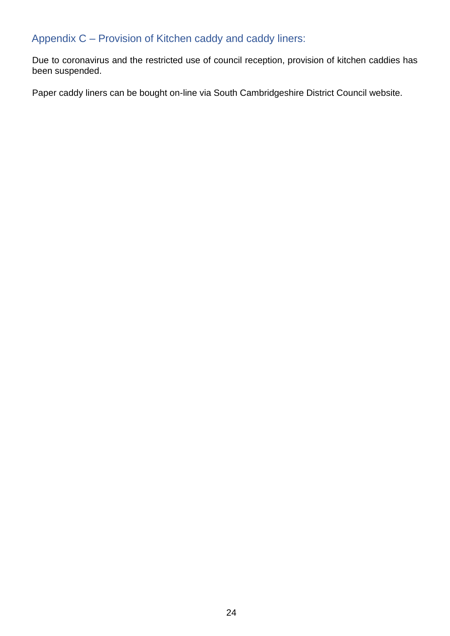## Appendix C – Provision of Kitchen caddy and caddy liners:

Due to coronavirus and the restricted use of council reception, provision of kitchen caddies has been suspended.

Paper caddy liners can be bought on-line via South Cambridgeshire District Council website.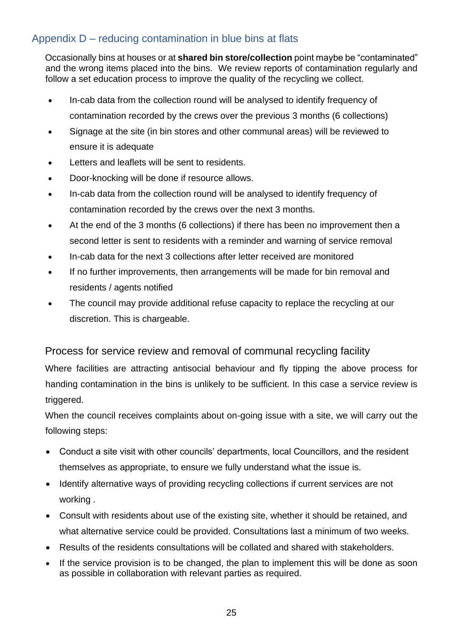## <span id="page-24-0"></span>Appendix D – reducing contamination in blue bins at flats

Occasionally bins at houses or at **shared bin store/collection** point maybe be "contaminated" and the wrong items placed into the bins. We review reports of contamination regularly and follow a set education process to improve the quality of the recycling we collect.

- In-cab data from the collection round will be analysed to identify frequency of contamination recorded by the crews over the previous 3 months (6 collections)
- Signage at the site (in bin stores and other communal areas) will be reviewed to ensure it is adequate
- Letters and leaflets will be sent to residents.
- Door-knocking will be done if resource allows.
- In-cab data from the collection round will be analysed to identify frequency of contamination recorded by the crews over the next 3 months.
- At the end of the 3 months (6 collections) if there has been no improvement then a second letter is sent to residents with a reminder and warning of service removal
- In-cab data for the next 3 collections after letter received are monitored
- If no further improvements, then arrangements will be made for bin removal and residents / agents notified
- The council may provide additional refuse capacity to replace the recycling at our discretion. This is chargeable.

#### Process for service review and removal of communal recycling facility

Where facilities are attracting antisocial behaviour and fly tipping the above process for handing contamination in the bins is unlikely to be sufficient. In this case a service review is triggered.

When the council receives complaints about on-going issue with a site, we will carry out the following steps:

- Conduct a site visit with other councils' departments, local Councillors, and the resident themselves as appropriate, to ensure we fully understand what the issue is.
- Identify alternative ways of providing recycling collections if current services are not working .
- Consult with residents about use of the existing site, whether it should be retained, and what alternative service could be provided. Consultations last a minimum of two weeks.
- Results of the residents consultations will be collated and shared with stakeholders.
- If the service provision is to be changed, the plan to implement this will be done as soon as possible in collaboration with relevant parties as required.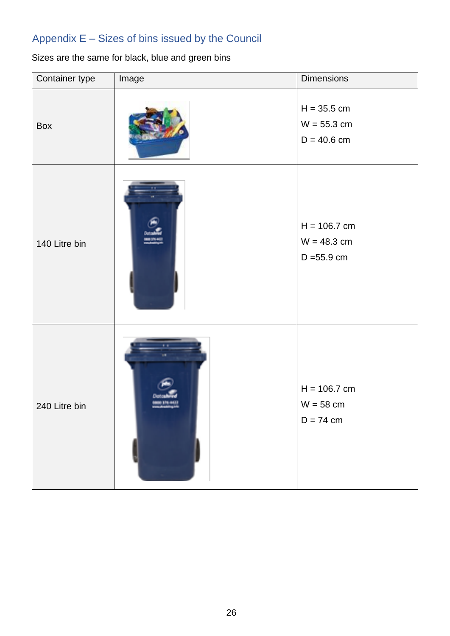## Appendix E – Sizes of bins issued by the Council

## <span id="page-25-0"></span>Sizes are the same for black, blue and green bins

| Container type | Image | Dimensions                                       |
|----------------|-------|--------------------------------------------------|
| Box            |       | $H = 35.5$ cm<br>$W = 55.3$ cm<br>$D = 40.6$ cm  |
| 140 Litre bin  |       | $H = 106.7$ cm<br>$W = 48.3$ cm<br>$D = 55.9$ cm |
| 240 Litre bin  |       | $H = 106.7$ cm<br>$W = 58$ cm<br>$D = 74$ cm     |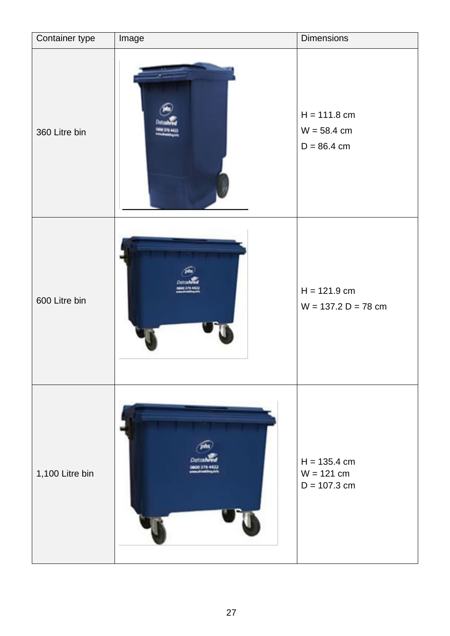| Container type  | Image | <b>Dimensions</b>                                |
|-----------------|-------|--------------------------------------------------|
| 360 Litre bin   |       | $H = 111.8$ cm<br>$W = 58.4$ cm<br>$D = 86.4$ cm |
| 600 Litre bin   |       | $H = 121.9$ cm<br>$W = 137.2 D = 78 cm$          |
| 1,100 Litre bin |       | $H = 135.4$ cm<br>$W = 121$ cm<br>$D = 107.3$ cm |